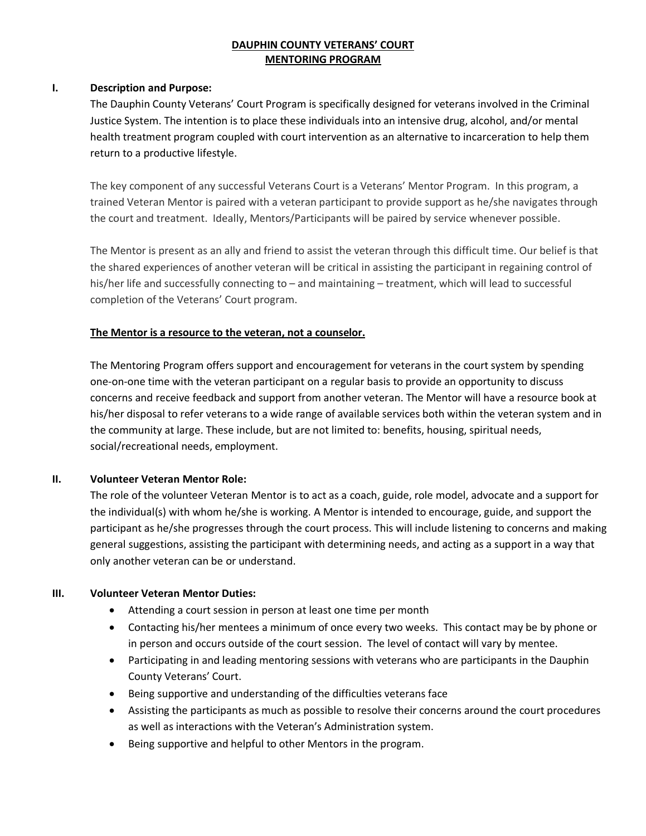### **DAUPHIN COUNTY VETERANS' COURT MENTORING PROGRAM**

### **I. Description and Purpose:**

The Dauphin County Veterans' Court Program is specifically designed for veterans involved in the Criminal Justice System. The intention is to place these individuals into an intensive drug, alcohol, and/or mental health treatment program coupled with court intervention as an alternative to incarceration to help them return to a productive lifestyle.

The key component of any successful Veterans Court is a Veterans' Mentor Program. In this program, a trained Veteran Mentor is paired with a veteran participant to provide support as he/she navigates through the court and treatment. Ideally, Mentors/Participants will be paired by service whenever possible.

The Mentor is present as an ally and friend to assist the veteran through this difficult time. Our belief is that the shared experiences of another veteran will be critical in assisting the participant in regaining control of his/her life and successfully connecting to – and maintaining – treatment, which will lead to successful completion of the Veterans' Court program.

# **The Mentor is a resource to the veteran, not a counselor.**

The Mentoring Program offers support and encouragement for veterans in the court system by spending one-on-one time with the veteran participant on a regular basis to provide an opportunity to discuss concerns and receive feedback and support from another veteran. The Mentor will have a resource book at his/her disposal to refer veterans to a wide range of available services both within the veteran system and in the community at large. These include, but are not limited to: benefits, housing, spiritual needs, social/recreational needs, employment.

# **II. Volunteer Veteran Mentor Role:**

The role of the volunteer Veteran Mentor is to act as a coach, guide, role model, advocate and a support for the individual(s) with whom he/she is working. A Mentor is intended to encourage, guide, and support the participant as he/she progresses through the court process. This will include listening to concerns and making general suggestions, assisting the participant with determining needs, and acting as a support in a way that only another veteran can be or understand.

### **III. Volunteer Veteran Mentor Duties:**

- Attending a court session in person at least one time per month
- Contacting his/her mentees a minimum of once every two weeks. This contact may be by phone or in person and occurs outside of the court session. The level of contact will vary by mentee.
- Participating in and leading mentoring sessions with veterans who are participants in the Dauphin County Veterans' Court.
- Being supportive and understanding of the difficulties veterans face
- Assisting the participants as much as possible to resolve their concerns around the court procedures as well as interactions with the Veteran's Administration system.
- Being supportive and helpful to other Mentors in the program.